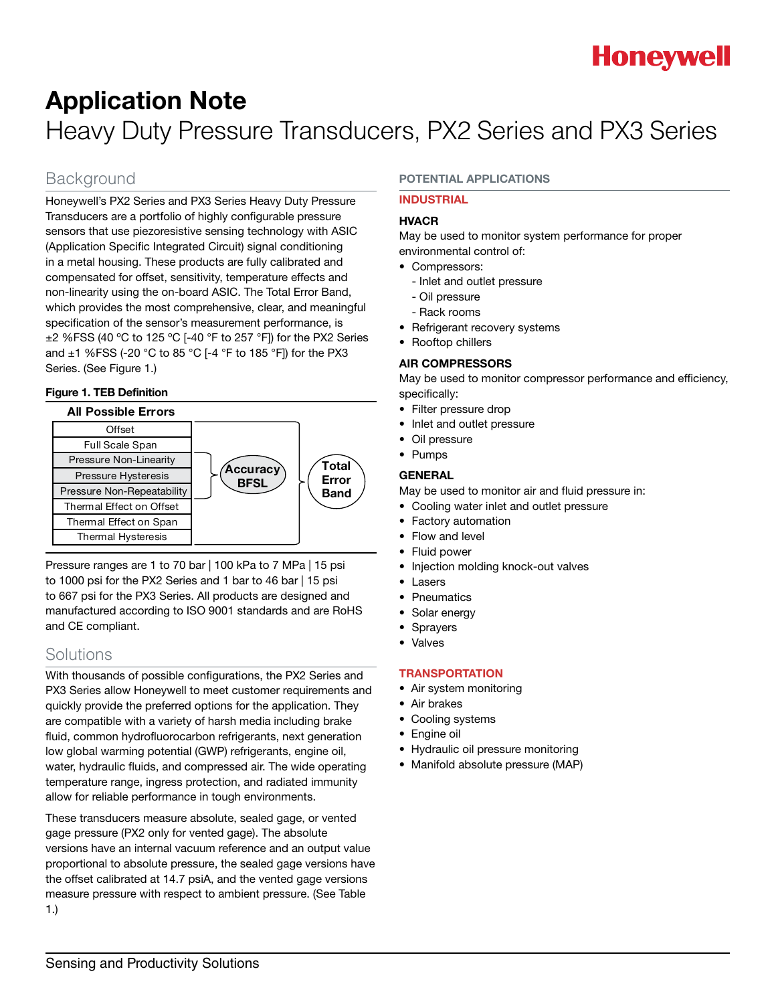

## Application Note Heavy Duty Pressure Transducers, PX2 Series and PX3 Series

### Background

Honeywell's PX2 Series and PX3 Series Heavy Duty Pressure Transducers are a portfolio of highly configurable pressure sensors that use piezoresistive sensing technology with ASIC (Application Specific Integrated Circuit) signal conditioning in a metal housing. These products are fully calibrated and compensated for offset, sensitivity, temperature effects and non-linearity using the on-board ASIC. The Total Error Band, which provides the most comprehensive, clear, and meaningful specification of the sensor's measurement performance, is  $\pm$ 2 %FSS (40 °C to 125 °C [-40 °F to 257 °F]) for the PX2 Series and ±1 %FSS (-20 °C to 85 °C [-4 °F to 185 °F]) for the PX3 Series. (See Figure 1.)

#### Figure 1. TEB Definition



Pressure ranges are 1 to 70 bar | 100 kPa to 7 MPa | 15 psi to 1000 psi for the PX2 Series and 1 bar to 46 bar | 15 psi to 667 psi for the PX3 Series. All products are designed and manufactured according to ISO 9001 standards and are RoHS and CE compliant.

### Solutions

With thousands of possible configurations, the PX2 Series and PX3 Series allow Honeywell to meet customer requirements and quickly provide the preferred options for the application. They are compatible with a variety of harsh media including brake fluid, common hydrofluorocarbon refrigerants, next generation low global warming potential (GWP) refrigerants, engine oil, water, hydraulic fluids, and compressed air. The wide operating temperature range, ingress protection, and radiated immunity allow for reliable performance in tough environments.

These transducers measure absolute, sealed gage, or vented gage pressure (PX2 only for vented gage). The absolute versions have an internal vacuum reference and an output value proportional to absolute pressure, the sealed gage versions have the offset calibrated at 14.7 psiA, and the vented gage versions measure pressure with respect to ambient pressure. (See Table 1.)

#### POTENTIAL APPLICATIONS

#### INDUSTRIAL

#### HVACR

May be used to monitor system performance for proper environmental control of:

- Compressors:
	- Inlet and outlet pressure
	- Oil pressure
	- Rack rooms
- Refrigerant recovery systems
- Rooftop chillers

#### AIR COMPRESSORS

May be used to monitor compressor performance and efficiency, specifically:

- Filter pressure drop
- Inlet and outlet pressure
- Oil pressure
- Pumps

#### GENERAL

May be used to monitor air and fluid pressure in:

- Cooling water inlet and outlet pressure
- Factory automation
- Flow and level
- Fluid power
- Injection molding knock-out valves
- Lasers
- Pneumatics
- Solar energy
- Sprayers
- Valves

### **TRANSPORTATION**

- Air system monitoring
- Air brakes
- Cooling systems
- Engine oil
- Hydraulic oil pressure monitoring
- Manifold absolute pressure (MAP)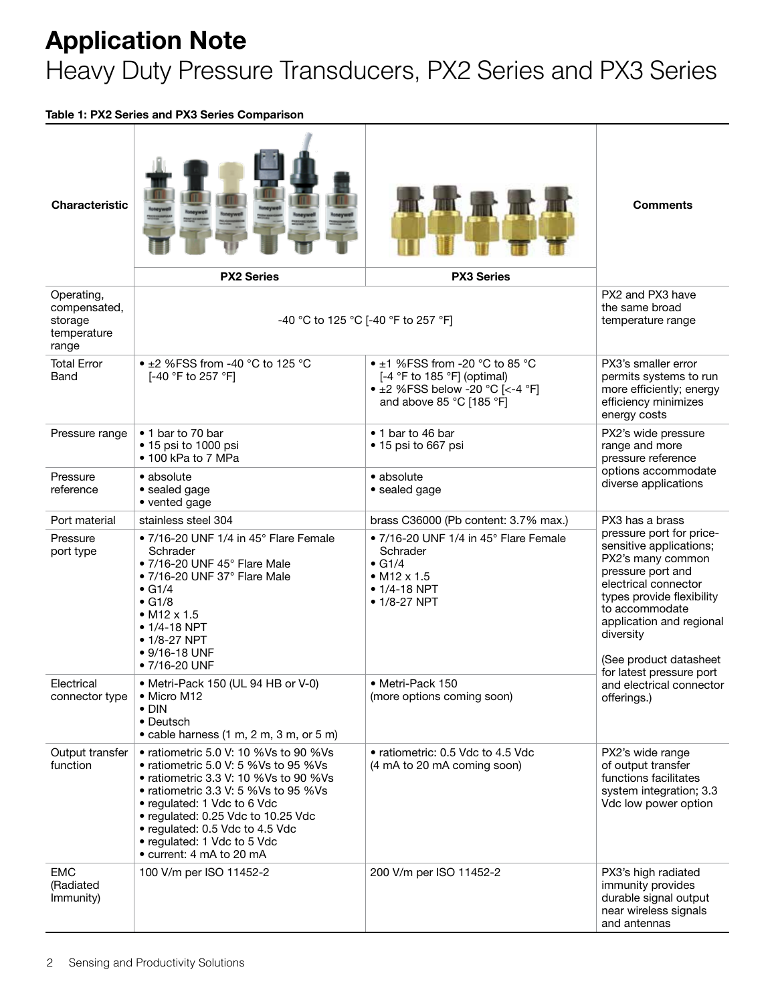# Application Note

## Heavy Duty Pressure Transducers, PX2 Series and PX3 Series

Table 1: PX2 Series and PX3 Series Comparison

| <b>Characteristic</b>                                         | <b>PX2 Series</b>                                                                                                                                                                                                                                                                                                                 | <b>PX3 Series</b>                                                                                                                           | <b>Comments</b>                                                                                                                                                                                                                                                     |
|---------------------------------------------------------------|-----------------------------------------------------------------------------------------------------------------------------------------------------------------------------------------------------------------------------------------------------------------------------------------------------------------------------------|---------------------------------------------------------------------------------------------------------------------------------------------|---------------------------------------------------------------------------------------------------------------------------------------------------------------------------------------------------------------------------------------------------------------------|
| Operating,<br>compensated,<br>storage<br>temperature<br>range | -40 °C to 125 °C [-40 °F to 257 °F]                                                                                                                                                                                                                                                                                               |                                                                                                                                             | PX2 and PX3 have<br>the same broad<br>temperature range                                                                                                                                                                                                             |
| <b>Total Error</b><br>Band                                    | • $\pm$ 2 %FSS from -40 °C to 125 °C<br>[-40 °F to 257 °F]                                                                                                                                                                                                                                                                        | • $\pm$ 1 %FSS from -20 °C to 85 °C<br>[-4 °F to 185 °F] (optimal)<br>• $\pm 2$ %FSS below -20 °C [<-4 °F]<br>and above 85 °C [185 °F]      | PX3's smaller error<br>permits systems to run<br>more efficiently; energy<br>efficiency minimizes<br>energy costs                                                                                                                                                   |
| Pressure range                                                | • 1 bar to 70 bar<br>• 15 psi to 1000 psi<br>• 100 kPa to 7 MPa                                                                                                                                                                                                                                                                   | • 1 bar to 46 bar<br>• 15 psi to 667 psi                                                                                                    | PX2's wide pressure<br>range and more<br>pressure reference<br>options accommodate<br>diverse applications                                                                                                                                                          |
| Pressure<br>reference                                         | • absolute<br>• sealed gage<br>• vented gage                                                                                                                                                                                                                                                                                      | • absolute<br>· sealed gage                                                                                                                 |                                                                                                                                                                                                                                                                     |
| Port material                                                 | stainless steel 304                                                                                                                                                                                                                                                                                                               | brass C36000 (Pb content: 3.7% max.)                                                                                                        | PX3 has a brass                                                                                                                                                                                                                                                     |
| Pressure<br>port type                                         | • 7/16-20 UNF 1/4 in 45° Flare Female<br>Schrader<br>• 7/16-20 UNF 45° Flare Male<br>$\bullet$ 7/16-20 UNF 37 $^{\circ}$ Flare Male<br>$\bullet$ G1/4<br>$\bullet$ G1/8<br>• $M12 \times 1.5$<br>$• 1/4-18 NPT$<br>$\bullet$ 1/8-27 NPT<br>$• 9/16 - 18$ UNF<br>• 7/16-20 UNF                                                     | • $7/16$ -20 UNF 1/4 in 45 $^{\circ}$ Flare Female<br>Schrader<br>$\bullet$ G1/4<br>$\bullet$ M12 x 1.5<br>$• 1/4-18$ NPT<br>$• 1/8-27$ NPT | pressure port for price-<br>sensitive applications;<br>PX2's many common<br>pressure port and<br>electrical connector<br>types provide flexibility<br>to accommodate<br>application and regional<br>diversity<br>(See product datasheet<br>for latest pressure port |
| Electrical<br>connector type                                  | • Metri-Pack 150 (UL 94 HB or V-0)<br>• Micro M12<br>$\bullet$ DIN<br>• Deutsch<br>• cable harness (1 m, 2 m, 3 m, or 5 m)                                                                                                                                                                                                        | • Metri-Pack 150<br>(more options coming soon)                                                                                              | and electrical connector<br>offerings.)                                                                                                                                                                                                                             |
| Output transfer<br>function                                   | • ratiometric 5.0 V: 10 %Vs to 90 %Vs<br>• ratiometric 5.0 V: 5 %Vs to 95 %Vs<br>• ratiometric 3.3 V: 10 %Vs to 90 %Vs<br>• ratiometric 3.3 V: 5 %Vs to 95 %Vs<br>• regulated: 1 Vdc to 6 Vdc<br>• regulated: 0.25 Vdc to 10.25 Vdc<br>• regulated: 0.5 Vdc to 4.5 Vdc<br>• regulated: 1 Vdc to 5 Vdc<br>• current: 4 mA to 20 mA | • ratiometric: 0.5 Vdc to 4.5 Vdc<br>(4 mA to 20 mA coming soon)                                                                            | PX2's wide range<br>of output transfer<br>functions facilitates<br>system integration; 3.3<br>Vdc low power option                                                                                                                                                  |
| <b>EMC</b><br>(Radiated<br>Immunity)                          | 100 V/m per ISO 11452-2                                                                                                                                                                                                                                                                                                           | 200 V/m per ISO 11452-2                                                                                                                     | PX3's high radiated<br>immunity provides<br>durable signal output<br>near wireless signals<br>and antennas                                                                                                                                                          |